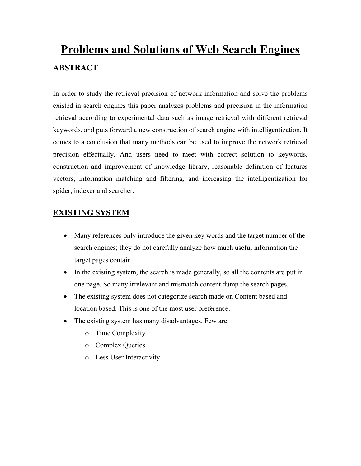# **Problems and Solutions of Web Search Engines ABSTRACT**

In order to study the retrieval precision of network information and solve the problems existed in search engines this paper analyzes problems and precision in the information retrieval according to experimental data such as image retrieval with different retrieval keywords, and puts forward a new construction of search engine with intelligentization. It comes to a conclusion that many methods can be used to improve the network retrieval precision effectually. And users need to meet with correct solution to keywords, construction and improvement of knowledge library, reasonable definition of features vectors, information matching and filtering, and increasing the intelligentization for spider, indexer and searcher.

# **EXISTING SYSTEM**

- · Many references only introduce the given key words and the target number of the search engines; they do not carefully analyze how much useful information the target pages contain.
- In the existing system, the search is made generally, so all the contents are put in one page. So many irrelevant and mismatch content dump the search pages.
- The existing system does not categorize search made on Content based and location based. This is one of the most user preference.
- The existing system has many disadvantages. Few are
	- o Time Complexity
	- o Complex Queries
	- o Less User Interactivity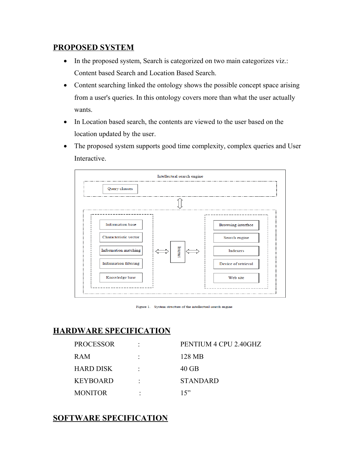## **PROPOSED SYSTEM**

- In the proposed system, Search is categorized on two main categorizes viz.: Content based Search and Location Based Search.
- Content searching linked the ontology shows the possible concept space arising from a user's queries. In this ontology covers more than what the user actually wants.
- · In Location based search, the contents are viewed to the user based on the location updated by the user.
- The proposed system supports good time complexity, complex queries and User Interactive.



Figure 1. System structure of the intellectual search engine

## **HARDWARE SPECIFICATION**

| <b>PROCESSOR</b> | ٠         | PENTIUM 4 CPU 2.40GHZ |
|------------------|-----------|-----------------------|
| <b>RAM</b>       | ٠         | 128 MB                |
| <b>HARD DISK</b> | ٠         | 40 GB                 |
| <b>KEYBOARD</b>  | $\bullet$ | <b>STANDARD</b>       |
| <b>MONITOR</b>   |           | 15"                   |

## **SOFTWARE SPECIFICATION**